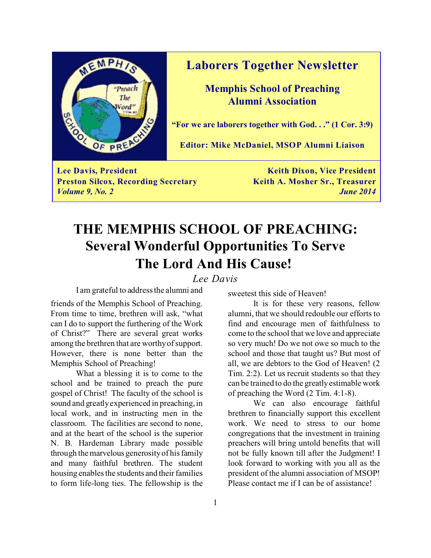

### **Laborers Together Newsletter**

**Memphis School of Preaching Alumni Association**

**"For we are laborers together with God. . ." (1 Cor. 3:9)**

**Editor: Mike McDaniel, MSOP Alumni Liaison**

**Lee Davis, President Keith Dixon, Vice President Preston Silcox, Recording Secretary <b>Keith A. Mosher Sr., Treasurer** *Volume 9, No. 2 June 2014*

## **THE MEMPHIS SCHOOL OF PREACHING: Several Wonderful Opportunities To Serve The Lord And His Cause!**

*Lee Davis*

I am grateful to address the alumni and

friends of the Memphis School of Preaching. From time to time, brethren will ask, "what can I do to support the furthering of the Work of Christ?" There are several great works among the brethren that are worthy of support. However, there is none better than the Memphis School of Preaching!

What a blessing it is to come to the school and be trained to preach the pure gospel of Christ! The faculty of the school is sound and greatly experienced in preaching, in local work, and in instructing men in the classroom. The facilities are second to none, and at the heart of the school is the superior N. B. Hardeman Library made possible through the marvelous generosity of his family and many faithful brethren. The student housing enables the students and their families to form life-long ties. The fellowship is the

sweetest this side of Heaven!

It is for these very reasons, fellow alumni, that we should redouble our efforts to find and encourage men of faithfulness to come to the school that we love and appreciate so very much! Do we not owe so much to the school and those that taught us? But most of all, we are debtors to the God of Heaven! (2 Tim. 2:2). Let us recruit students so that they can be trained to do the greatly estimable work of preaching the Word (2 Tim. 4:1-8).

We can also encourage faithful brethren to financially support this excellent work. We need to stress to our home congregations that the investment in training preachers will bring untold benefits that will not be fully known till after the Judgment! I look forward to working with you all as the president of the alumni association of MSOP! Please contact me if I can be of assistance!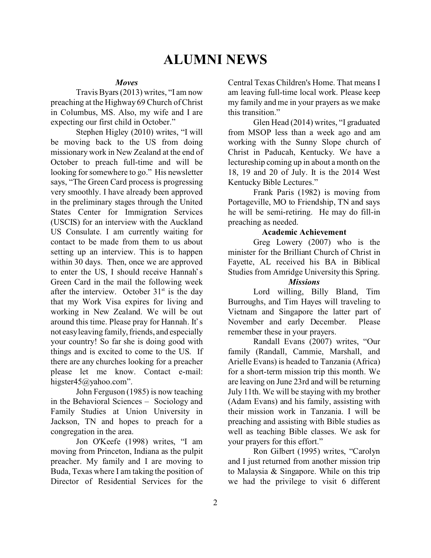## **ALUMNI NEWS**

### *Moves*

Travis Byars (2013) writes, "I am now preaching at the Highway 69 Church of Christ in Columbus, MS. Also, my wife and I are expecting our first child in October."

Stephen Higley (2010) writes, "I will be moving back to the US from doing missionary work in New Zealand at the end of October to preach full-time and will be looking for somewhere to go." His newsletter says, "The Green Card process is progressing very smoothly. I have already been approved in the preliminary stages through the United States Center for Immigration Services (USCIS) for an interview with the Auckland US Consulate. I am currently waiting for contact to be made from them to us about setting up an interview. This is to happen within 30 days. Then, once we are approved to enter the US, I should receive Hannah's Green Card in the mail the following week after the interview. October  $31<sup>st</sup>$  is the day that my Work Visa expires for living and working in New Zealand. We will be out around this time. Please pray for Hannah. It's not easy leaving family, friends, and especially your country! So far she is doing good with things and is excited to come to the US. If there are any churches looking for a preacher please let me know. Contact e-mail: higster45@yahoo.com".

John Ferguson (1985) is now teaching in the Behavioral Sciences – Sociology and Family Studies at Union University in Jackson, TN and hopes to preach for a congregation in the area.

Jon O'Keefe (1998) writes, "I am moving from Princeton, Indiana as the pulpit preacher. My family and I are moving to Buda, Texas where I am taking the position of Director of Residential Services for the

Central Texas Children's Home. That means I am leaving full-time local work. Please keep my family and me in your prayers as we make this transition."

Glen Head (2014) writes, "I graduated from MSOP less than a week ago and am working with the Sunny Slope church of Christ in Paducah, Kentucky. We have a lectureship coming up in about a month on the 18, 19 and 20 of July. It is the 2014 West Kentucky Bible Lectures."

Frank Paris (1982) is moving from Portageville, MO to Friendship, TN and says he will be semi-retiring. He may do fill-in preaching as needed.

### **Academic Achievement**

Greg Lowery (2007) who is the minister for the Brilliant Church of Christ in Fayette, AL received his BA in Biblical Studies from Amridge University this Spring.

### *Missions*

Lord willing, Billy Bland, Tim Burroughs, and Tim Hayes will traveling to Vietnam and Singapore the latter part of November and early December. Please remember these in your prayers.

Randall Evans (2007) writes, "Our family (Randall, Cammie, Marshall, and Arielle Evans) is headed to Tanzania (Africa) for a short-term mission trip this month. We are leaving on June 23rd and will be returning July 11th. We will be staying with my brother (Adam Evans) and his family, assisting with their mission work in Tanzania. I will be preaching and assisting with Bible studies as well as teaching Bible classes. We ask for your prayers for this effort."

Ron Gilbert (1995) writes, "Carolyn and I just returned from another mission trip to Malaysia & Singapore. While on this trip we had the privilege to visit 6 different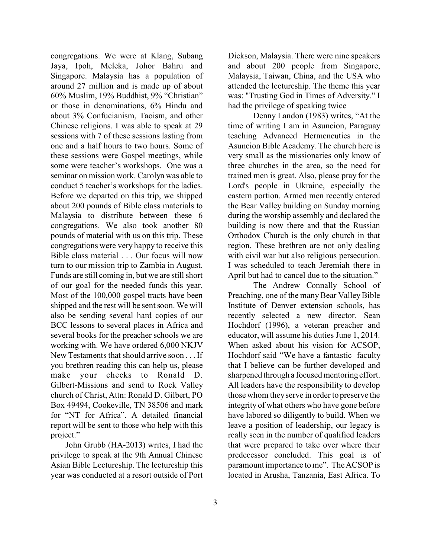congregations. We were at Klang, Subang Jaya, Ipoh, Meleka, Johor Bahru and Singapore. Malaysia has a population of around 27 million and is made up of about 60% Muslim, 19% Buddhist, 9% "Christian" or those in denominations, 6% Hindu and about 3% Confucianism, Taoism, and other Chinese religions. I was able to speak at 29 sessions with 7 of these sessions lasting from one and a half hours to two hours. Some of these sessions were Gospel meetings, while some were teacher's workshops. One was a seminar on mission work. Carolyn was able to conduct 5 teacher's workshops for the ladies. Before we departed on this trip, we shipped about 200 pounds of Bible class materials to Malaysia to distribute between these 6 congregations. We also took another 80 pounds of material with us on this trip. These congregations were very happy to receive this Bible class material . . . Our focus will now turn to our mission trip to Zambia in August. Funds are still coming in, but we are still short of our goal for the needed funds this year. Most of the 100,000 gospel tracts have been shipped and the rest will be sent soon. We will also be sending several hard copies of our BCC lessons to several places in Africa and several books for the preacher schools we are working with. We have ordered 6,000 NKJV New Testaments that should arrive soon . . . If you brethren reading this can help us, please make your checks to Ronald D. Gilbert-Missions and send to Rock Valley church of Christ, Attn: Ronald D. Gilbert, PO Box 49494, Cookeville, TN 38506 and mark for "NT for Africa". A detailed financial report will be sent to those who help with this project."

 John Grubb (HA-2013) writes, I had the privilege to speak at the 9th Annual Chinese Asian Bible Lectureship. The lectureship this year was conducted at a resort outside of Port Dickson, Malaysia. There were nine speakers and about 200 people from Singapore, Malaysia, Taiwan, China, and the USA who attended the lectureship. The theme this year was: "Trusting God in Times of Adversity." I had the privilege of speaking twice

Denny Landon (1983) writes, "At the time of writing I am in Asuncion, Paraguay teaching Advanced Hermeneutics in the Asuncion Bible Academy. The church here is very small as the missionaries only know of three churches in the area, so the need for trained men is great. Also, please pray for the Lord's people in Ukraine, especially the eastern portion. Armed men recently entered the Bear Valley building on Sunday morning during the worship assembly and declared the building is now there and that the Russian Orthodox Church is the only church in that region. These brethren are not only dealing with civil war but also religious persecution. I was scheduled to teach Jeremiah there in April but had to cancel due to the situation."

The Andrew Connally School of Preaching, one of the many Bear Valley Bible Institute of Denver extension schools, has recently selected a new director. Sean Hochdorf (1996), a veteran preacher and educator, will assume his duties June 1, 2014. When asked about his vision for ACSOP, Hochdorf said "We have a fantastic faculty that I believe can be further developed and sharpened through a focused mentoring effort. All leaders have the responsibility to develop those whom they serve in order to preserve the integrity of what others who have gone before have labored so diligently to build. When we leave a position of leadership, our legacy is really seen in the number of qualified leaders that were prepared to take over where their predecessor concluded. This goal is of paramount importance to me". The ACSOP is located in Arusha, Tanzania, East Africa. To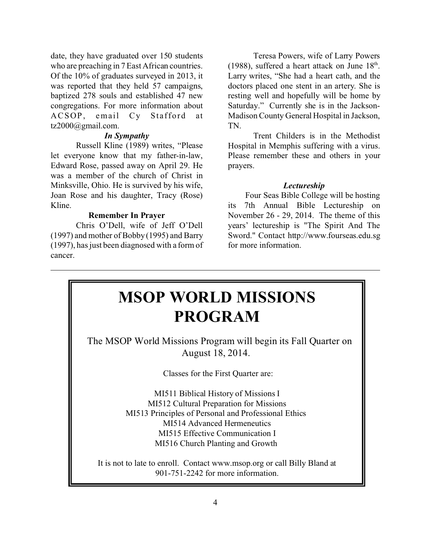date, they have graduated over 150 students who are preaching in 7 East African countries. Of the 10% of graduates surveyed in 2013, it was reported that they held 57 campaigns, baptized 278 souls and established 47 new congregations. For more information about ACSOP, email Cy Stafford at tz2000@gmail.com.

### *In Sympathy*

Russell Kline (1989) writes, "Please let everyone know that my father-in-law, Edward Rose, passed away on April 29. He was a member of the church of Christ in Minksville, Ohio. He is survived by his wife, Joan Rose and his daughter, Tracy (Rose) Kline.

#### **Remember In Prayer**

Chris O'Dell, wife of Jeff O'Dell (1997) and mother of Bobby (1995) and Barry (1997), has just been diagnosed with a form of cancer.

Teresa Powers, wife of Larry Powers (1988), suffered a heart attack on June  $18<sup>th</sup>$ . Larry writes, "She had a heart cath, and the doctors placed one stent in an artery. She is resting well and hopefully will be home by Saturday." Currently she is in the Jackson-Madison County General Hospital in Jackson, TN.

Trent Childers is in the Methodist Hospital in Memphis suffering with a virus. Please remember these and others in your prayers.

#### *Lectureship*

 Four Seas Bible College will be hosting its 7th Annual Bible Lectureship on November 26 - 29, 2014. The theme of this years' lectureship is "The Spirit And The Sword." Contact http://www.fourseas.edu.sg for more information.

## **MSOP WORLD MISSIONS PROGRAM**

 The MSOP World Missions Program will begin its Fall Quarter on August 18, 2014.

Classes for the First Quarter are:

MI511 Biblical History of Missions I MI512 Cultural Preparation for Missions MI513 Principles of Personal and Professional Ethics MI514 Advanced Hermeneutics MI515 Effective Communication I MI516 Church Planting and Growth

It is not to late to enroll. Contact www.msop.org or call Billy Bland at 901-751-2242 for more information.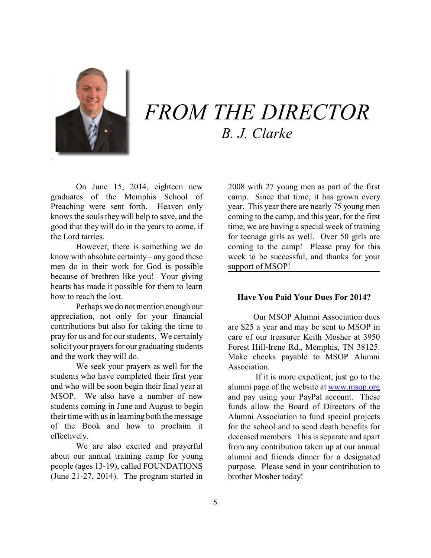

# *FROM THE DIRECTOR B. J. Clarke*

On June 15, 2014, eighteen new graduates of the Memphis School of Preaching were sent forth. Heaven only knows the souls they will help to save, and the good that they will do in the years to come, if the Lord tarries.

However, there is something we do know with absolute certainty – any good these men do in their work for God is possible because of brethren like you! Your giving hearts has made it possible for them to learn how to reach the lost.

Perhaps we do not mention enough our appreciation, not only for your financial contributions but also for taking the time to pray for us and for our students. We certainly solicit your prayers for our graduating students and the work they will do.

We seek your prayers as well for the students who have completed their first year and who will be soon begin their final year at MSOP. We also have a number of new students coming in June and August to begin their time with us in learning both the message of the Book and how to proclaim it effectively.

We are also excited and prayerful about our annual training camp for young people (ages 13-19), called FOUNDATIONS (June 21-27, 2014). The program started in 2008 with 27 young men as part of the first camp. Since that time, it has grown every year. This year there are nearly 75 young men coming to the camp, and this year, for the first time, we are having a special week of training for teenage girls as well. Over 50 girls are coming to the camp! Please pray for this week to be successful, and thanks for your support of MSOP!

### **Have You Paid Your Dues For 2014?**

Our MSOP Alumni Association dues are \$25 a year and may be sent to MSOP in care of our treasurer Keith Mosher at 3950 Forest Hill-Irene Rd., Memphis, TN 38125. Make checks payable to MSOP Alumni Association.

 If it is more expedient, just go to the alumni page of the website at [www.msop.org](http://www.msop.org) and pay using your PayPal account. These funds allow the Board of Directors of the Alumni Association to fund special projects for the school and to send death benefits for deceased members. This is separate and apart from any contribution taken up at our annual alumni and friends dinner for a designated purpose. Please send in your contribution to brother Mosher today!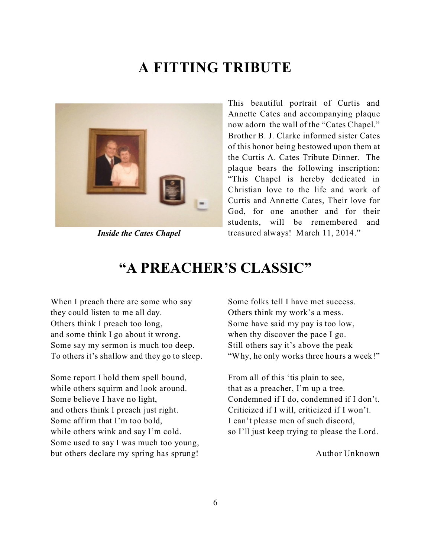## **A FITTING TRIBUTE**



*Inside the Cates Chapel*

This beautiful portrait of Curtis and Annette Cates and accompanying plaque now adorn the wall of the "Cates Chapel." Brother B. J. Clarke informed sister Cates of this honor being bestowed upon them at the Curtis A. Cates Tribute Dinner. The plaque bears the following inscription: "This Chapel is hereby dedicated in Christian love to the life and work of Curtis and Annette Cates, Their love for God, for one another and for their students, will be remembered and treasured always! March 11, 2014."

## **"A PREACHER'S CLASSIC"**

When I preach there are some who say they could listen to me all day. Others think I preach too long, and some think I go about it wrong. Some say my sermon is much too deep. To others it's shallow and they go to sleep.

Some report I hold them spell bound, while others squirm and look around. Some believe I have no light, and others think I preach just right. Some affirm that I'm too bold, while others wink and say I'm cold. Some used to say I was much too young, but others declare my spring has sprung!

Some folks tell I have met success. Others think my work's a mess. Some have said my pay is too low, when thy discover the pace I go. Still others say it's above the peak "Why, he only works three hours a week!"

From all of this 'tis plain to see, that as a preacher, I'm up a tree. Condemned if I do, condemned if I don't. Criticized if I will, criticized if I won't. I can't please men of such discord, so I'll just keep trying to please the Lord.

Author Unknown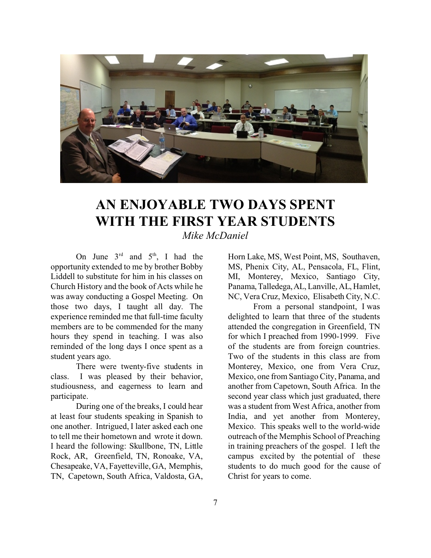

## **AN ENJOYABLE TWO DAYS SPENT WITH THE FIRST YEAR STUDENTS** *Mike McDaniel*

On June  $3^{rd}$  and  $5^{th}$ , I had the opportunity extended to me by brother Bobby Liddell to substitute for him in his classes on Church History and the book of Acts while he was away conducting a Gospel Meeting. On those two days, I taught all day. The experience reminded me that full-time faculty members are to be commended for the many hours they spend in teaching. I was also reminded of the long days I once spent as a student years ago.

There were twenty-five students in class. I was pleased by their behavior, studiousness, and eagerness to learn and participate.

During one of the breaks, I could hear at least four students speaking in Spanish to one another. Intrigued, I later asked each one to tell me their hometown and wrote it down. I heard the following: Skullbone, TN, Little Rock, AR, Greenfield, TN, Ronoake, VA, Chesapeake, VA, Fayetteville, GA, Memphis, TN, Capetown, South Africa, Valdosta, GA,

Horn Lake, MS, West Point, MS, Southaven, MS, Phenix City, AL, Pensacola, FL, Flint, MI, Monterey, Mexico, Santiago City, Panama,Talledega,AL, Lanville, AL, Hamlet, NC, Vera Cruz, Mexico, Elisabeth City, N.C.

From a personal standpoint, I was delighted to learn that three of the students attended the congregation in Greenfield, TN for which I preached from 1990-1999. Five of the students are from foreign countries. Two of the students in this class are from Monterey, Mexico, one from Vera Cruz, Mexico, one from Santiago City, Panama, and another from Capetown, South Africa. In the second year class which just graduated, there was a student from West Africa, another from India, and yet another from Monterey, Mexico. This speaks well to the world-wide outreach of the Memphis School of Preaching in training preachers of the gospel. I left the campus excited by the potential of these students to do much good for the cause of Christ for years to come.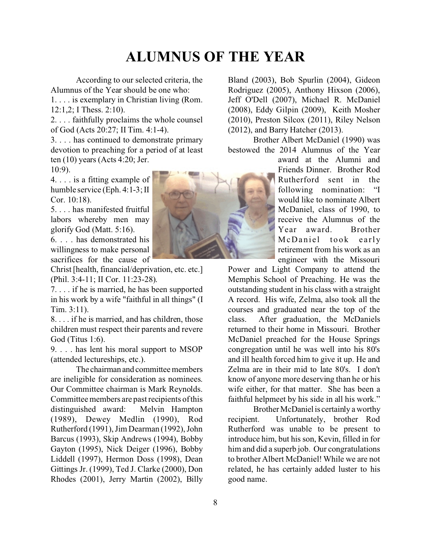## **ALUMNUS OF THE YEAR**

According to our selected criteria, the Alumnus of the Year should be one who:

1. . . . is exemplary in Christian living (Rom. 12:1,2; I Thess. 2:10).

2. . . . faithfully proclaims the whole counsel of God (Acts 20:27; II Tim. 4:1-4).

3. . . . has continued to demonstrate primary devotion to preaching for a period of at least ten (10) years (Acts 4:20; Jer. 10:9).

4. . . . is a fitting example of humble service (Eph. 4:1-3; II Cor. 10:18).

5. . . . has manifested fruitful labors whereby men may glorify God (Matt. 5:16).

6. . . . has demonstrated his willingness to make personal sacrifices for the cause of

Christ [health, financial/deprivation, etc. etc.] (Phil. 3:4-11; II Cor. 11:23-28).

7. . . . if he is married, he has been supported in his work by a wife "faithful in all things" (I Tim. 3:11).

8. . . . if he is married, and has children, those children must respect their parents and revere God (Titus 1:6).

9. . . . has lent his moral support to MSOP (attended lectureships, etc.).

The chairman and committee members are ineligible for consideration as nominees. Our Committee chairman is Mark Reynolds. Committee members are past recipients of this distinguished award: Melvin Hampton (1989), Dewey Medlin (1990), Rod Rutherford (1991), Jim Dearman (1992), John Barcus (1993), Skip Andrews (1994), Bobby Gayton (1995), Nick Deiger (1996), Bobby Liddell (1997), Hermon Doss (1998), Dean Gittings Jr. (1999), Ted J. Clarke (2000), Don Rhodes (2001), Jerry Martin (2002), Billy



Bland (2003), Bob Spurlin (2004), Gideon Rodriguez (2005), Anthony Hixson (2006), Jeff O'Dell (2007), Michael R. McDaniel (2008), Eddy Gilpin (2009), Keith Mosher (2010), Preston Silcox (2011), Riley Nelson (2012), and Barry Hatcher (2013).

Brother Albert McDaniel (1990) was bestowed the 2014 Alumnus of the Year

> award at the Alumni and Friends Dinner. Brother Rod Rutherford sent in the following nomination: "I would like to nominate Albert McDaniel, class of 1990, to receive the Alumnus of the Year award. Brother McDaniel took early retirement from his work as an engineer with the Missouri

Power and Light Company to attend the Memphis School of Preaching. He was the outstanding student in his class with a straight A record. His wife, Zelma, also took all the courses and graduated near the top of the class. After graduation, the McDaniels returned to their home in Missouri. Brother McDaniel preached for the House Springs congregation until he was well into his 80's and ill health forced him to give it up. He and Zelma are in their mid to late 80's. I don't know of anyone more deserving than he or his wife either, for that matter. She has been a faithful helpmeet by his side in all his work."

Brother McDanielis certainly a worthy recipient. Unfortunately, brother Rod Rutherford was unable to be present to introduce him, but his son, Kevin, filled in for him and did a superb job. Our congratulations to brother Albert McDaniel! While we are not related, he has certainly added luster to his good name.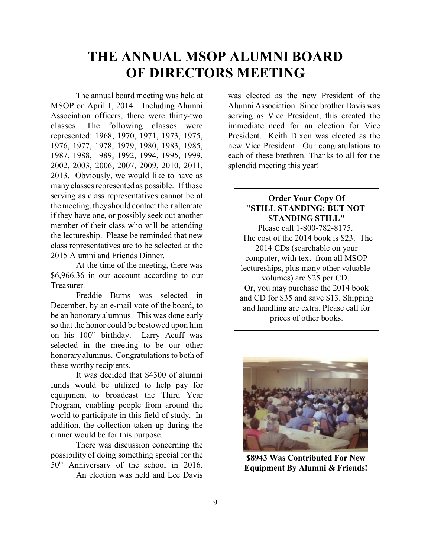## **THE ANNUAL MSOP ALUMNI BOARD OF DIRECTORS MEETING**

The annual board meeting was held at MSOP on April 1, 2014. Including Alumni Association officers, there were thirty-two classes. The following classes were represented: 1968, 1970, 1971, 1973, 1975, 1976, 1977, 1978, 1979, 1980, 1983, 1985, 1987, 1988, 1989, 1992, 1994, 1995, 1999, 2002, 2003, 2006, 2007, 2009, 2010, 2011, 2013. Obviously, we would like to have as many classes represented as possible. If those serving as class representatives cannot be at the meeting, they should contact their alternate if they have one, or possibly seek out another member of their class who will be attending the lectureship. Please be reminded that new class representatives are to be selected at the 2015 Alumni and Friends Dinner.

At the time of the meeting, there was \$6,966.36 in our account according to our Treasurer.

Freddie Burns was selected in December, by an e-mail vote of the board, to be an honorary alumnus. This was done early so that the honor could be bestowed upon him on his 100<sup>th</sup> birthday. Larry Acuff was selected in the meeting to be our other honorary alumnus. Congratulations to both of these worthy recipients.

It was decided that \$4300 of alumni funds would be utilized to help pay for equipment to broadcast the Third Year Program, enabling people from around the world to participate in this field of study. In addition, the collection taken up during the dinner would be for this purpose.

There was discussion concerning the possibility of doing something special for the 50th Anniversary of the school in 2016. An election was held and Lee Davis

was elected as the new President of the Alumni Association. Since brother Davis was serving as Vice President, this created the immediate need for an election for Vice President. Keith Dixon was elected as the new Vice President. Our congratulations to each of these brethren. Thanks to all for the splendid meeting this year!

### **Order Your Copy Of "STILL STANDING: BUT NOT STANDING STILL"**

Please call 1-800-782-8175. The cost of the 2014 book is \$23. The 2014 CDs (searchable on your computer, with text from all MSOP lectureships, plus many other valuable volumes) are \$25 per CD. Or, you may purchase the 2014 book and CD for \$35 and save \$13. Shipping and handling are extra. Please call for prices of other books.



**\$8943 Was Contributed For New Equipment By Alumni & Friends!**